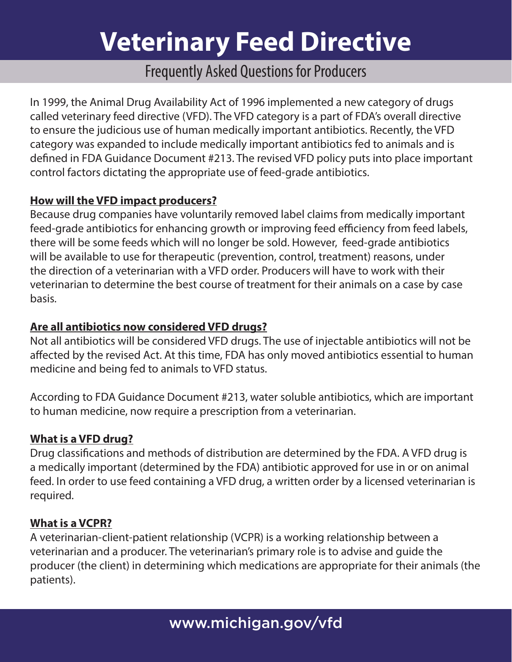# **Veterinary Feed Directive**

# Frequently Asked Questions for Producers

In 1999, the Animal Drug Availability Act of 1996 implemented a new category of drugs called veterinary feed directive (VFD). The VFD category is a part of FDA's overall directive to ensure the judicious use of human medically important antibiotics. Recently, the VFD category was expanded to include medically important antibiotics fed to animals and is defined in FDA Guidance Document #213. The revised VFD policy puts into place important control factors dictating the appropriate use of feed-grade antibiotics.

# **How will the VFD impact producers?**

Because drug companies have voluntarily removed label claims from medically important feed-grade antibiotics for enhancing growth or improving feed efficiency from feed labels, there will be some feeds which will no longer be sold. However, feed-grade antibiotics will be available to use for therapeutic (prevention, control, treatment) reasons, under the direction of a veterinarian with a VFD order. Producers will have to work with their veterinarian to determine the best course of treatment for their animals on a case by case basis.

# **Are all antibiotics now considered VFD drugs?**

Not all antibiotics will be considered VFD drugs. The use of injectable antibiotics will not be affected by the revised Act. At this time, FDA has only moved antibiotics essential to human medicine and being fed to animals to VFD status.

According to FDA Guidance Document #213, water soluble antibiotics, which are important to human medicine, now require a prescription from a veterinarian.

#### **What is a VFD drug?**

Drug classifications and methods of distribution are determined by the FDA. A VFD drug is a medically important (determined by the FDA) antibiotic approved for use in or on animal feed. In order to use feed containing a VFD drug, a written order by a licensed veterinarian is required.

#### **What is a VCPR?**

A veterinarian-client-patient relationship (VCPR) is a working relationship between a veterinarian and a producer. The veterinarian's primary role is to advise and guide the producer (the client) in determining which medications are appropriate for their animals (the patients).